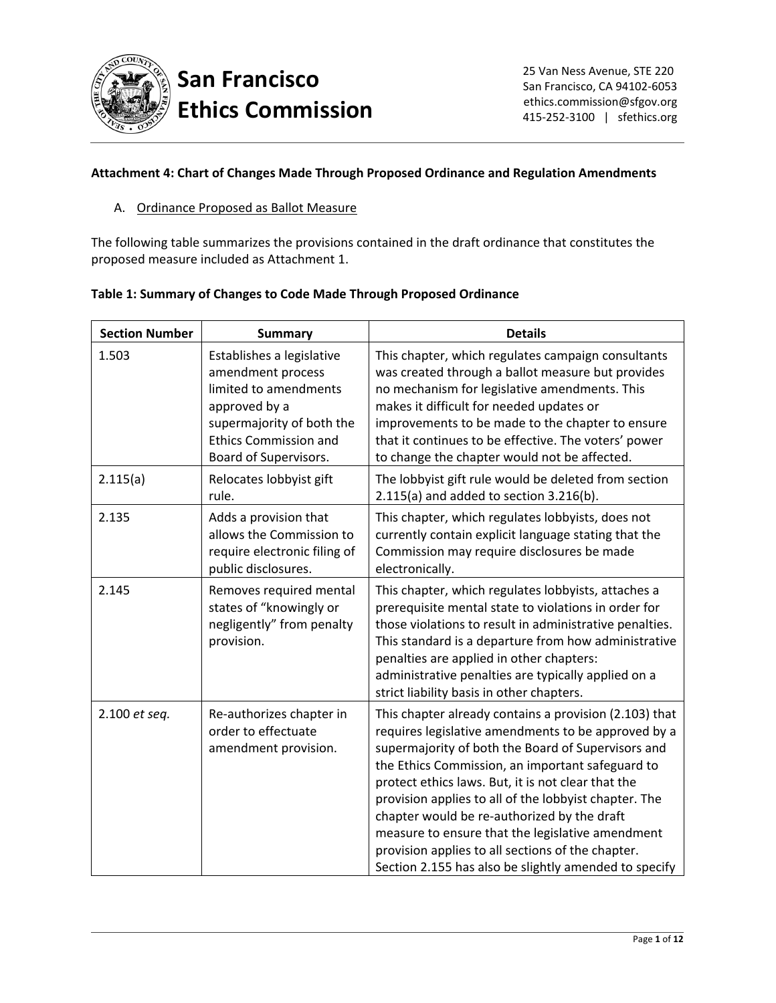

## **San Francisco Ethics Commission**

## **Attachment 4: Chart of Changes Made Through Proposed Ordinance and Regulation Amendments**

A. Ordinance Proposed as Ballot Measure

The following table summarizes the provisions contained in the draft ordinance that constitutes the proposed measure included as Attachment 1.

|  | Table 1: Summary of Changes to Code Made Through Proposed Ordinance |  |
|--|---------------------------------------------------------------------|--|
|  |                                                                     |  |

| <b>Section Number</b> | <b>Summary</b>                                                                                                                                                                 | <b>Details</b>                                                                                                                                                                                                                                                                                                                                                                                                                                                                                                                                          |
|-----------------------|--------------------------------------------------------------------------------------------------------------------------------------------------------------------------------|---------------------------------------------------------------------------------------------------------------------------------------------------------------------------------------------------------------------------------------------------------------------------------------------------------------------------------------------------------------------------------------------------------------------------------------------------------------------------------------------------------------------------------------------------------|
| 1.503                 | Establishes a legislative<br>amendment process<br>limited to amendments<br>approved by a<br>supermajority of both the<br><b>Ethics Commission and</b><br>Board of Supervisors. | This chapter, which regulates campaign consultants<br>was created through a ballot measure but provides<br>no mechanism for legislative amendments. This<br>makes it difficult for needed updates or<br>improvements to be made to the chapter to ensure<br>that it continues to be effective. The voters' power<br>to change the chapter would not be affected.                                                                                                                                                                                        |
| 2.115(a)              | Relocates lobbyist gift<br>rule.                                                                                                                                               | The lobbyist gift rule would be deleted from section<br>$2.115(a)$ and added to section $3.216(b)$ .                                                                                                                                                                                                                                                                                                                                                                                                                                                    |
| 2.135                 | Adds a provision that<br>allows the Commission to<br>require electronic filing of<br>public disclosures.                                                                       | This chapter, which regulates lobbyists, does not<br>currently contain explicit language stating that the<br>Commission may require disclosures be made<br>electronically.                                                                                                                                                                                                                                                                                                                                                                              |
| 2.145                 | Removes required mental<br>states of "knowingly or<br>negligently" from penalty<br>provision.                                                                                  | This chapter, which regulates lobbyists, attaches a<br>prerequisite mental state to violations in order for<br>those violations to result in administrative penalties.<br>This standard is a departure from how administrative<br>penalties are applied in other chapters:<br>administrative penalties are typically applied on a<br>strict liability basis in other chapters.                                                                                                                                                                          |
| 2.100 et seq.         | Re-authorizes chapter in<br>order to effectuate<br>amendment provision.                                                                                                        | This chapter already contains a provision (2.103) that<br>requires legislative amendments to be approved by a<br>supermajority of both the Board of Supervisors and<br>the Ethics Commission, an important safeguard to<br>protect ethics laws. But, it is not clear that the<br>provision applies to all of the lobbyist chapter. The<br>chapter would be re-authorized by the draft<br>measure to ensure that the legislative amendment<br>provision applies to all sections of the chapter.<br>Section 2.155 has also be slightly amended to specify |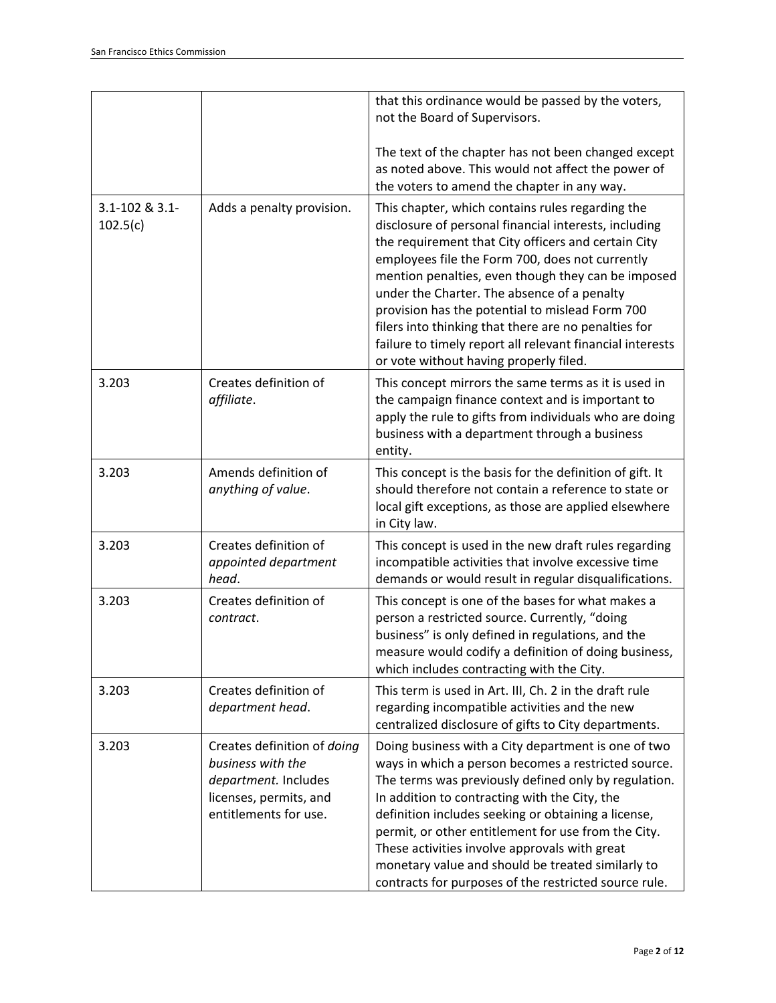|                            |                                                                                                                             | that this ordinance would be passed by the voters,<br>not the Board of Supervisors.                                                                                                                                                                                                                                                                                                                                                                                                                                                        |
|----------------------------|-----------------------------------------------------------------------------------------------------------------------------|--------------------------------------------------------------------------------------------------------------------------------------------------------------------------------------------------------------------------------------------------------------------------------------------------------------------------------------------------------------------------------------------------------------------------------------------------------------------------------------------------------------------------------------------|
|                            |                                                                                                                             | The text of the chapter has not been changed except<br>as noted above. This would not affect the power of<br>the voters to amend the chapter in any way.                                                                                                                                                                                                                                                                                                                                                                                   |
| 3.1-102 & 3.1-<br>102.5(c) | Adds a penalty provision.                                                                                                   | This chapter, which contains rules regarding the<br>disclosure of personal financial interests, including<br>the requirement that City officers and certain City<br>employees file the Form 700, does not currently<br>mention penalties, even though they can be imposed<br>under the Charter. The absence of a penalty<br>provision has the potential to mislead Form 700<br>filers into thinking that there are no penalties for<br>failure to timely report all relevant financial interests<br>or vote without having properly filed. |
| 3.203                      | Creates definition of<br>affiliate.                                                                                         | This concept mirrors the same terms as it is used in<br>the campaign finance context and is important to<br>apply the rule to gifts from individuals who are doing<br>business with a department through a business<br>entity.                                                                                                                                                                                                                                                                                                             |
| 3.203                      | Amends definition of<br>anything of value.                                                                                  | This concept is the basis for the definition of gift. It<br>should therefore not contain a reference to state or<br>local gift exceptions, as those are applied elsewhere<br>in City law.                                                                                                                                                                                                                                                                                                                                                  |
| 3.203                      | Creates definition of<br>appointed department<br>head.                                                                      | This concept is used in the new draft rules regarding<br>incompatible activities that involve excessive time<br>demands or would result in regular disqualifications.                                                                                                                                                                                                                                                                                                                                                                      |
| 3.203                      | Creates definition of<br>contract.                                                                                          | This concept is one of the bases for what makes a<br>person a restricted source. Currently, "doing<br>business" is only defined in regulations, and the<br>measure would codify a definition of doing business,<br>which includes contracting with the City.                                                                                                                                                                                                                                                                               |
| 3.203                      | Creates definition of<br>department head.                                                                                   | This term is used in Art. III, Ch. 2 in the draft rule<br>regarding incompatible activities and the new<br>centralized disclosure of gifts to City departments.                                                                                                                                                                                                                                                                                                                                                                            |
| 3.203                      | Creates definition of doing<br>business with the<br>department. Includes<br>licenses, permits, and<br>entitlements for use. | Doing business with a City department is one of two<br>ways in which a person becomes a restricted source.<br>The terms was previously defined only by regulation.<br>In addition to contracting with the City, the<br>definition includes seeking or obtaining a license,<br>permit, or other entitlement for use from the City.<br>These activities involve approvals with great<br>monetary value and should be treated similarly to<br>contracts for purposes of the restricted source rule.                                           |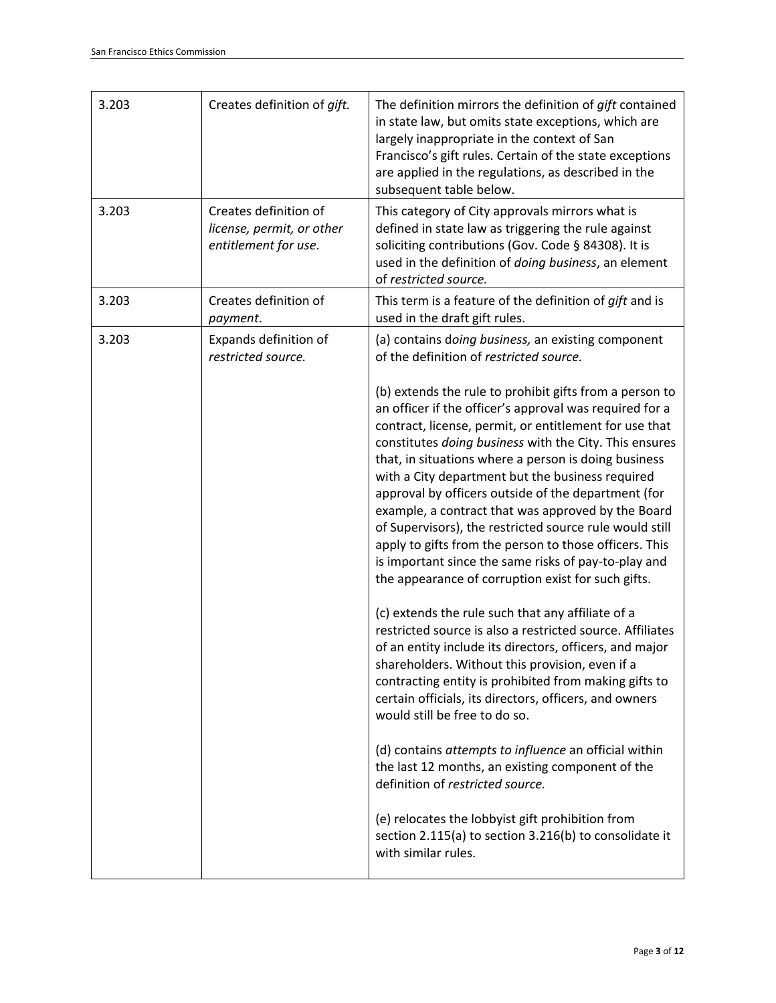| 3.203 | Creates definition of gift.                                                | The definition mirrors the definition of gift contained<br>in state law, but omits state exceptions, which are<br>largely inappropriate in the context of San<br>Francisco's gift rules. Certain of the state exceptions<br>are applied in the regulations, as described in the<br>subsequent table below.                                                                                                                                                                                                                                                                                                                                                                                         |
|-------|----------------------------------------------------------------------------|----------------------------------------------------------------------------------------------------------------------------------------------------------------------------------------------------------------------------------------------------------------------------------------------------------------------------------------------------------------------------------------------------------------------------------------------------------------------------------------------------------------------------------------------------------------------------------------------------------------------------------------------------------------------------------------------------|
| 3.203 | Creates definition of<br>license, permit, or other<br>entitlement for use. | This category of City approvals mirrors what is<br>defined in state law as triggering the rule against<br>soliciting contributions (Gov. Code § 84308). It is<br>used in the definition of doing business, an element<br>of restricted source.                                                                                                                                                                                                                                                                                                                                                                                                                                                     |
| 3.203 | Creates definition of<br>payment.                                          | This term is a feature of the definition of gift and is<br>used in the draft gift rules.                                                                                                                                                                                                                                                                                                                                                                                                                                                                                                                                                                                                           |
| 3.203 | Expands definition of<br>restricted source.                                | (a) contains doing business, an existing component<br>of the definition of restricted source.                                                                                                                                                                                                                                                                                                                                                                                                                                                                                                                                                                                                      |
|       |                                                                            | (b) extends the rule to prohibit gifts from a person to<br>an officer if the officer's approval was required for a<br>contract, license, permit, or entitlement for use that<br>constitutes doing business with the City. This ensures<br>that, in situations where a person is doing business<br>with a City department but the business required<br>approval by officers outside of the department (for<br>example, a contract that was approved by the Board<br>of Supervisors), the restricted source rule would still<br>apply to gifts from the person to those officers. This<br>is important since the same risks of pay-to-play and<br>the appearance of corruption exist for such gifts. |
|       |                                                                            | (c) extends the rule such that any affiliate of a<br>restricted source is also a restricted source. Affiliates<br>of an entity include its directors, officers, and major<br>shareholders. Without this provision, even if a<br>contracting entity is prohibited from making gifts to<br>certain officials, its directors, officers, and owners<br>would still be free to do so.                                                                                                                                                                                                                                                                                                                   |
|       |                                                                            | (d) contains attempts to influence an official within<br>the last 12 months, an existing component of the<br>definition of restricted source.                                                                                                                                                                                                                                                                                                                                                                                                                                                                                                                                                      |
|       |                                                                            | (e) relocates the lobbyist gift prohibition from<br>section 2.115(a) to section 3.216(b) to consolidate it<br>with similar rules.                                                                                                                                                                                                                                                                                                                                                                                                                                                                                                                                                                  |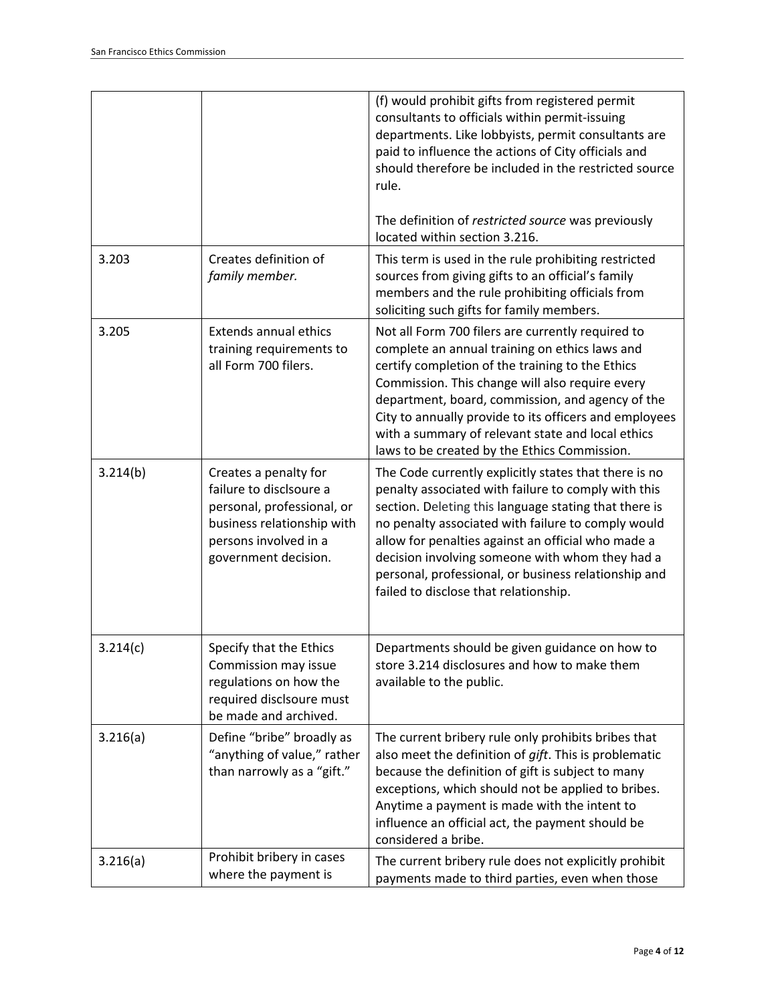|          |                                                                                                                                                               | (f) would prohibit gifts from registered permit<br>consultants to officials within permit-issuing<br>departments. Like lobbyists, permit consultants are<br>paid to influence the actions of City officials and<br>should therefore be included in the restricted source<br>rule.<br>The definition of restricted source was previously<br>located within section 3.216.                                                              |
|----------|---------------------------------------------------------------------------------------------------------------------------------------------------------------|---------------------------------------------------------------------------------------------------------------------------------------------------------------------------------------------------------------------------------------------------------------------------------------------------------------------------------------------------------------------------------------------------------------------------------------|
| 3.203    | Creates definition of<br>family member.                                                                                                                       | This term is used in the rule prohibiting restricted<br>sources from giving gifts to an official's family<br>members and the rule prohibiting officials from<br>soliciting such gifts for family members.                                                                                                                                                                                                                             |
| 3.205    | <b>Extends annual ethics</b><br>training requirements to<br>all Form 700 filers.                                                                              | Not all Form 700 filers are currently required to<br>complete an annual training on ethics laws and<br>certify completion of the training to the Ethics<br>Commission. This change will also require every<br>department, board, commission, and agency of the<br>City to annually provide to its officers and employees<br>with a summary of relevant state and local ethics<br>laws to be created by the Ethics Commission.         |
| 3.214(b) | Creates a penalty for<br>failure to disclsoure a<br>personal, professional, or<br>business relationship with<br>persons involved in a<br>government decision. | The Code currently explicitly states that there is no<br>penalty associated with failure to comply with this<br>section. Deleting this language stating that there is<br>no penalty associated with failure to comply would<br>allow for penalties against an official who made a<br>decision involving someone with whom they had a<br>personal, professional, or business relationship and<br>failed to disclose that relationship. |
| 3.214(c) | Specify that the Ethics<br>Commission may issue<br>regulations on how the<br>required disclsoure must<br>be made and archived.                                | Departments should be given guidance on how to<br>store 3.214 disclosures and how to make them<br>available to the public.                                                                                                                                                                                                                                                                                                            |
| 3.216(a) | Define "bribe" broadly as<br>"anything of value," rather<br>than narrowly as a "gift."                                                                        | The current bribery rule only prohibits bribes that<br>also meet the definition of <i>gift</i> . This is problematic<br>because the definition of gift is subject to many<br>exceptions, which should not be applied to bribes.<br>Anytime a payment is made with the intent to<br>influence an official act, the payment should be<br>considered a bribe.                                                                            |
| 3.216(a) | Prohibit bribery in cases<br>where the payment is                                                                                                             | The current bribery rule does not explicitly prohibit<br>payments made to third parties, even when those                                                                                                                                                                                                                                                                                                                              |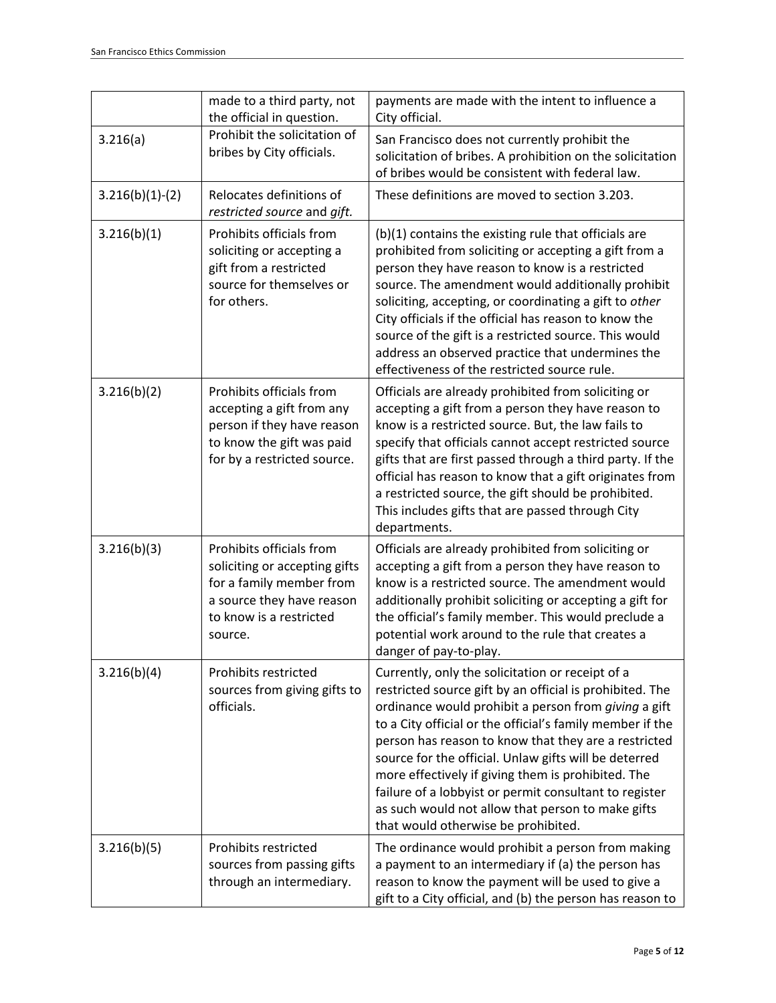|                   | made to a third party, not<br>the official in question.                                                                                                  | payments are made with the intent to influence a<br>City official.                                                                                                                                                                                                                                                                                                                                                                                                                                                                                             |
|-------------------|----------------------------------------------------------------------------------------------------------------------------------------------------------|----------------------------------------------------------------------------------------------------------------------------------------------------------------------------------------------------------------------------------------------------------------------------------------------------------------------------------------------------------------------------------------------------------------------------------------------------------------------------------------------------------------------------------------------------------------|
| 3.216(a)          | Prohibit the solicitation of<br>bribes by City officials.                                                                                                | San Francisco does not currently prohibit the<br>solicitation of bribes. A prohibition on the solicitation<br>of bribes would be consistent with federal law.                                                                                                                                                                                                                                                                                                                                                                                                  |
| $3.216(b)(1)-(2)$ | Relocates definitions of<br>restricted source and gift.                                                                                                  | These definitions are moved to section 3.203.                                                                                                                                                                                                                                                                                                                                                                                                                                                                                                                  |
| 3.216(b)(1)       | Prohibits officials from<br>soliciting or accepting a<br>gift from a restricted<br>source for themselves or<br>for others.                               | (b)(1) contains the existing rule that officials are<br>prohibited from soliciting or accepting a gift from a<br>person they have reason to know is a restricted<br>source. The amendment would additionally prohibit<br>soliciting, accepting, or coordinating a gift to other<br>City officials if the official has reason to know the<br>source of the gift is a restricted source. This would<br>address an observed practice that undermines the<br>effectiveness of the restricted source rule.                                                          |
| 3.216(b)(2)       | Prohibits officials from<br>accepting a gift from any<br>person if they have reason<br>to know the gift was paid<br>for by a restricted source.          | Officials are already prohibited from soliciting or<br>accepting a gift from a person they have reason to<br>know is a restricted source. But, the law fails to<br>specify that officials cannot accept restricted source<br>gifts that are first passed through a third party. If the<br>official has reason to know that a gift originates from<br>a restricted source, the gift should be prohibited.<br>This includes gifts that are passed through City<br>departments.                                                                                   |
| 3.216(b)(3)       | Prohibits officials from<br>soliciting or accepting gifts<br>for a family member from<br>a source they have reason<br>to know is a restricted<br>source. | Officials are already prohibited from soliciting or<br>accepting a gift from a person they have reason to<br>know is a restricted source. The amendment would<br>additionally prohibit soliciting or accepting a gift for<br>the official's family member. This would preclude a<br>potential work around to the rule that creates a<br>danger of pay-to-play.                                                                                                                                                                                                 |
| 3.216(b)(4)       | Prohibits restricted<br>sources from giving gifts to<br>officials.                                                                                       | Currently, only the solicitation or receipt of a<br>restricted source gift by an official is prohibited. The<br>ordinance would prohibit a person from giving a gift<br>to a City official or the official's family member if the<br>person has reason to know that they are a restricted<br>source for the official. Unlaw gifts will be deterred<br>more effectively if giving them is prohibited. The<br>failure of a lobbyist or permit consultant to register<br>as such would not allow that person to make gifts<br>that would otherwise be prohibited. |
| 3.216(b)(5)       | Prohibits restricted<br>sources from passing gifts<br>through an intermediary.                                                                           | The ordinance would prohibit a person from making<br>a payment to an intermediary if (a) the person has<br>reason to know the payment will be used to give a<br>gift to a City official, and (b) the person has reason to                                                                                                                                                                                                                                                                                                                                      |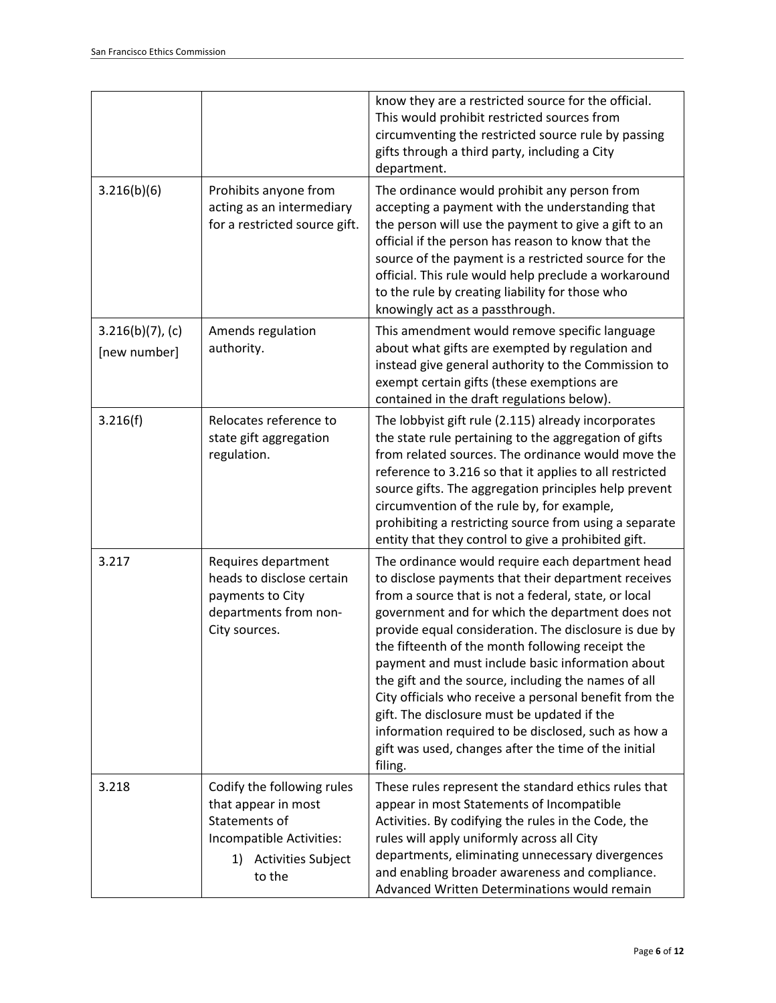|                                     |                                                                                                                                   | know they are a restricted source for the official.<br>This would prohibit restricted sources from<br>circumventing the restricted source rule by passing<br>gifts through a third party, including a City<br>department.                                                                                                                                                                                                                                                                                                                                                                                                                                                      |
|-------------------------------------|-----------------------------------------------------------------------------------------------------------------------------------|--------------------------------------------------------------------------------------------------------------------------------------------------------------------------------------------------------------------------------------------------------------------------------------------------------------------------------------------------------------------------------------------------------------------------------------------------------------------------------------------------------------------------------------------------------------------------------------------------------------------------------------------------------------------------------|
| 3.216(b)(6)                         | Prohibits anyone from<br>acting as an intermediary<br>for a restricted source gift.                                               | The ordinance would prohibit any person from<br>accepting a payment with the understanding that<br>the person will use the payment to give a gift to an<br>official if the person has reason to know that the<br>source of the payment is a restricted source for the<br>official. This rule would help preclude a workaround<br>to the rule by creating liability for those who<br>knowingly act as a passthrough.                                                                                                                                                                                                                                                            |
| $3.216(b)(7)$ , (c)<br>[new number] | Amends regulation<br>authority.                                                                                                   | This amendment would remove specific language<br>about what gifts are exempted by regulation and<br>instead give general authority to the Commission to<br>exempt certain gifts (these exemptions are<br>contained in the draft regulations below).                                                                                                                                                                                                                                                                                                                                                                                                                            |
| 3.216(f)                            | Relocates reference to<br>state gift aggregation<br>regulation.                                                                   | The lobbyist gift rule (2.115) already incorporates<br>the state rule pertaining to the aggregation of gifts<br>from related sources. The ordinance would move the<br>reference to 3.216 so that it applies to all restricted<br>source gifts. The aggregation principles help prevent<br>circumvention of the rule by, for example,<br>prohibiting a restricting source from using a separate<br>entity that they control to give a prohibited gift.                                                                                                                                                                                                                          |
| 3.217                               | Requires department<br>heads to disclose certain<br>payments to City<br>departments from non-<br>City sources.                    | The ordinance would require each department head<br>to disclose payments that their department receives<br>from a source that is not a federal, state, or local<br>government and for which the department does not<br>provide equal consideration. The disclosure is due by<br>the fifteenth of the month following receipt the<br>payment and must include basic information about<br>the gift and the source, including the names of all<br>City officials who receive a personal benefit from the<br>gift. The disclosure must be updated if the<br>information required to be disclosed, such as how a<br>gift was used, changes after the time of the initial<br>filing. |
| 3.218                               | Codify the following rules<br>that appear in most<br>Statements of<br>Incompatible Activities:<br>1) Activities Subject<br>to the | These rules represent the standard ethics rules that<br>appear in most Statements of Incompatible<br>Activities. By codifying the rules in the Code, the<br>rules will apply uniformly across all City<br>departments, eliminating unnecessary divergences<br>and enabling broader awareness and compliance.<br>Advanced Written Determinations would remain                                                                                                                                                                                                                                                                                                                   |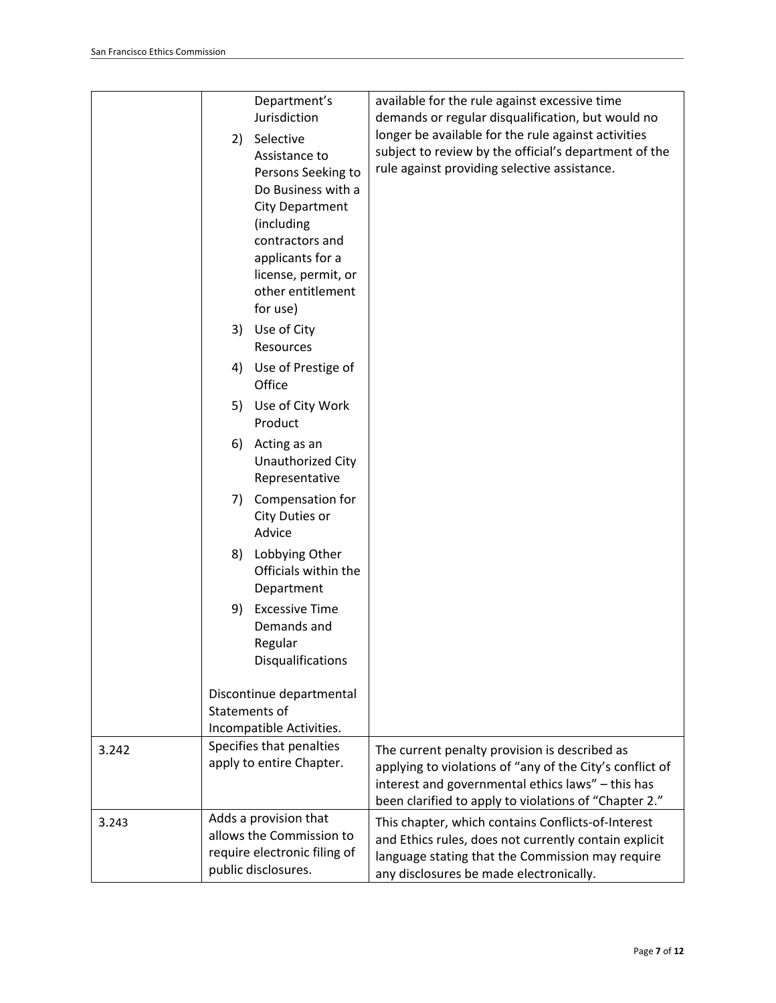|       | Department's<br>Jurisdiction                                                                                                                                                                                | available for the rule against excessive time<br>demands or regular disqualification, but would no                                                                                                                      |
|-------|-------------------------------------------------------------------------------------------------------------------------------------------------------------------------------------------------------------|-------------------------------------------------------------------------------------------------------------------------------------------------------------------------------------------------------------------------|
|       | Selective<br>2)                                                                                                                                                                                             | longer be available for the rule against activities                                                                                                                                                                     |
|       | Assistance to<br>Persons Seeking to<br>Do Business with a<br>City Department<br>(including<br>contractors and<br>applicants for a<br>license, permit, or<br>other entitlement<br>for use)<br>3) Use of City | subject to review by the official's department of the<br>rule against providing selective assistance.                                                                                                                   |
|       | Resources                                                                                                                                                                                                   |                                                                                                                                                                                                                         |
|       | Use of Prestige of<br>4)<br>Office                                                                                                                                                                          |                                                                                                                                                                                                                         |
|       | 5) Use of City Work<br>Product                                                                                                                                                                              |                                                                                                                                                                                                                         |
|       | 6)<br>Acting as an<br>Unauthorized City<br>Representative                                                                                                                                                   |                                                                                                                                                                                                                         |
|       | 7)<br>Compensation for<br>City Duties or<br>Advice                                                                                                                                                          |                                                                                                                                                                                                                         |
|       | 8)<br>Lobbying Other<br>Officials within the<br>Department                                                                                                                                                  |                                                                                                                                                                                                                         |
|       | <b>Excessive Time</b><br>9)<br>Demands and<br>Regular<br><b>Disqualifications</b>                                                                                                                           |                                                                                                                                                                                                                         |
|       | Discontinue departmental<br>Statements of                                                                                                                                                                   |                                                                                                                                                                                                                         |
|       | Incompatible Activities.                                                                                                                                                                                    |                                                                                                                                                                                                                         |
| 3.242 | Specifies that penalties<br>apply to entire Chapter.                                                                                                                                                        | The current penalty provision is described as<br>applying to violations of "any of the City's conflict of<br>interest and governmental ethics laws" - this has<br>been clarified to apply to violations of "Chapter 2." |
| 3.243 | Adds a provision that<br>allows the Commission to<br>require electronic filing of<br>public disclosures.                                                                                                    | This chapter, which contains Conflicts-of-Interest<br>and Ethics rules, does not currently contain explicit<br>language stating that the Commission may require<br>any disclosures be made electronically.              |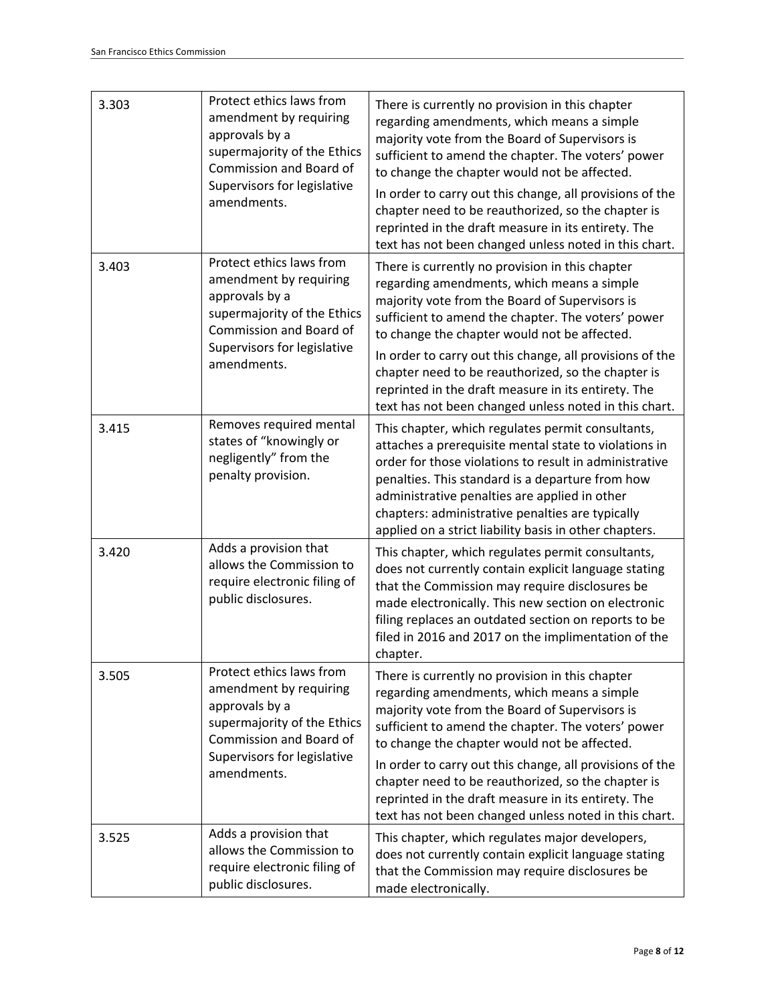| 3.303 | Protect ethics laws from<br>amendment by requiring<br>approvals by a<br>supermajority of the Ethics<br>Commission and Board of<br>Supervisors for legislative<br>amendments. | There is currently no provision in this chapter<br>regarding amendments, which means a simple<br>majority vote from the Board of Supervisors is<br>sufficient to amend the chapter. The voters' power<br>to change the chapter would not be affected.<br>In order to carry out this change, all provisions of the<br>chapter need to be reauthorized, so the chapter is<br>reprinted in the draft measure in its entirety. The<br>text has not been changed unless noted in this chart. |
|-------|------------------------------------------------------------------------------------------------------------------------------------------------------------------------------|-----------------------------------------------------------------------------------------------------------------------------------------------------------------------------------------------------------------------------------------------------------------------------------------------------------------------------------------------------------------------------------------------------------------------------------------------------------------------------------------|
| 3.403 | Protect ethics laws from<br>amendment by requiring<br>approvals by a<br>supermajority of the Ethics<br>Commission and Board of<br>Supervisors for legislative<br>amendments. | There is currently no provision in this chapter<br>regarding amendments, which means a simple<br>majority vote from the Board of Supervisors is<br>sufficient to amend the chapter. The voters' power<br>to change the chapter would not be affected.<br>In order to carry out this change, all provisions of the<br>chapter need to be reauthorized, so the chapter is<br>reprinted in the draft measure in its entirety. The<br>text has not been changed unless noted in this chart. |
| 3.415 | Removes required mental<br>states of "knowingly or<br>negligently" from the<br>penalty provision.                                                                            | This chapter, which regulates permit consultants,<br>attaches a prerequisite mental state to violations in<br>order for those violations to result in administrative<br>penalties. This standard is a departure from how<br>administrative penalties are applied in other<br>chapters: administrative penalties are typically<br>applied on a strict liability basis in other chapters.                                                                                                 |
| 3.420 | Adds a provision that<br>allows the Commission to<br>require electronic filing of<br>public disclosures.                                                                     | This chapter, which regulates permit consultants,<br>does not currently contain explicit language stating<br>that the Commission may require disclosures be<br>made electronically. This new section on electronic<br>filing replaces an outdated section on reports to be<br>filed in 2016 and 2017 on the implimentation of the<br>chapter.                                                                                                                                           |
| 3.505 | Protect ethics laws from<br>amendment by requiring<br>approvals by a<br>supermajority of the Ethics<br>Commission and Board of<br>Supervisors for legislative<br>amendments. | There is currently no provision in this chapter<br>regarding amendments, which means a simple<br>majority vote from the Board of Supervisors is<br>sufficient to amend the chapter. The voters' power<br>to change the chapter would not be affected.<br>In order to carry out this change, all provisions of the<br>chapter need to be reauthorized, so the chapter is<br>reprinted in the draft measure in its entirety. The<br>text has not been changed unless noted in this chart. |
| 3.525 | Adds a provision that<br>allows the Commission to<br>require electronic filing of<br>public disclosures.                                                                     | This chapter, which regulates major developers,<br>does not currently contain explicit language stating<br>that the Commission may require disclosures be<br>made electronically.                                                                                                                                                                                                                                                                                                       |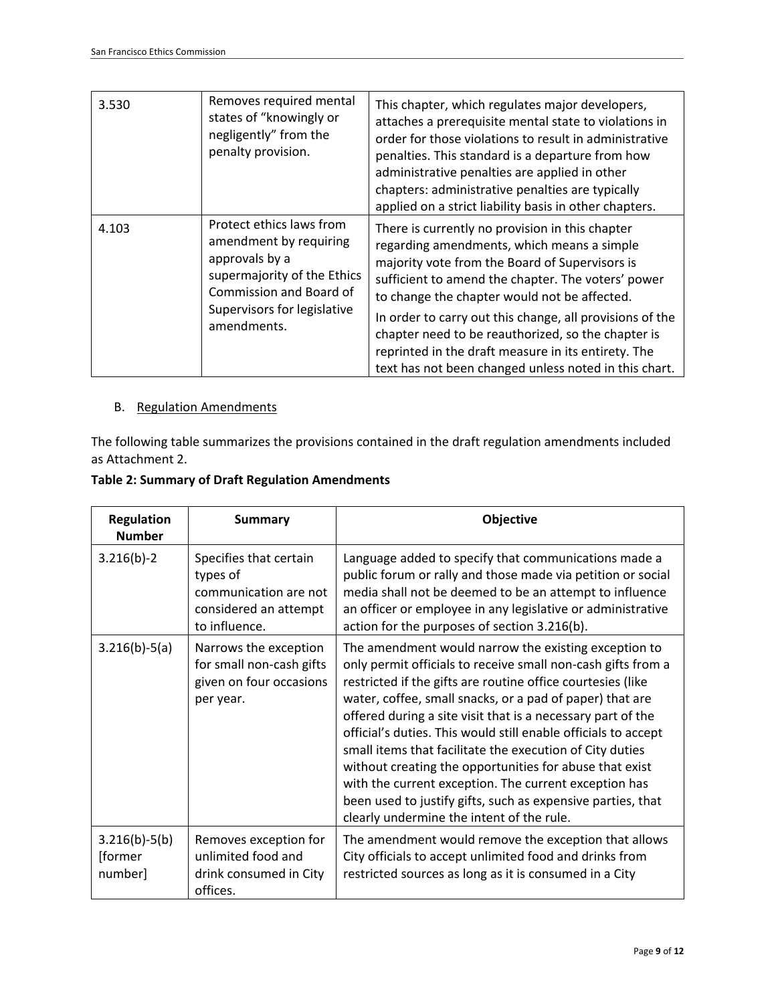| 3.530 | Removes required mental<br>states of "knowingly or<br>negligently" from the<br>penalty provision.                                                                            | This chapter, which regulates major developers,<br>attaches a prerequisite mental state to violations in<br>order for those violations to result in administrative<br>penalties. This standard is a departure from how<br>administrative penalties are applied in other<br>chapters: administrative penalties are typically<br>applied on a strict liability basis in other chapters.                                                                                                   |
|-------|------------------------------------------------------------------------------------------------------------------------------------------------------------------------------|-----------------------------------------------------------------------------------------------------------------------------------------------------------------------------------------------------------------------------------------------------------------------------------------------------------------------------------------------------------------------------------------------------------------------------------------------------------------------------------------|
| 4.103 | Protect ethics laws from<br>amendment by requiring<br>approvals by a<br>supermajority of the Ethics<br>Commission and Board of<br>Supervisors for legislative<br>amendments. | There is currently no provision in this chapter<br>regarding amendments, which means a simple<br>majority vote from the Board of Supervisors is<br>sufficient to amend the chapter. The voters' power<br>to change the chapter would not be affected.<br>In order to carry out this change, all provisions of the<br>chapter need to be reauthorized, so the chapter is<br>reprinted in the draft measure in its entirety. The<br>text has not been changed unless noted in this chart. |

## B. Regulation Amendments

The following table summarizes the provisions contained in the draft regulation amendments included as Attachment 2.

| <b>Table 2: Summary of Draft Regulation Amendments</b> |
|--------------------------------------------------------|
|--------------------------------------------------------|

| <b>Regulation</b><br><b>Number</b>    | <b>Summary</b>                                                                                        | <b>Objective</b>                                                                                                                                                                                                                                                                                                                                                                                                                                                                                                                                                                                                                                                             |
|---------------------------------------|-------------------------------------------------------------------------------------------------------|------------------------------------------------------------------------------------------------------------------------------------------------------------------------------------------------------------------------------------------------------------------------------------------------------------------------------------------------------------------------------------------------------------------------------------------------------------------------------------------------------------------------------------------------------------------------------------------------------------------------------------------------------------------------------|
| $3.216(b)-2$                          | Specifies that certain<br>types of<br>communication are not<br>considered an attempt<br>to influence. | Language added to specify that communications made a<br>public forum or rally and those made via petition or social<br>media shall not be deemed to be an attempt to influence<br>an officer or employee in any legislative or administrative<br>action for the purposes of section 3.216(b).                                                                                                                                                                                                                                                                                                                                                                                |
| $3.216(b)-5(a)$                       | Narrows the exception<br>for small non-cash gifts<br>given on four occasions<br>per year.             | The amendment would narrow the existing exception to<br>only permit officials to receive small non-cash gifts from a<br>restricted if the gifts are routine office courtesies (like<br>water, coffee, small snacks, or a pad of paper) that are<br>offered during a site visit that is a necessary part of the<br>official's duties. This would still enable officials to accept<br>small items that facilitate the execution of City duties<br>without creating the opportunities for abuse that exist<br>with the current exception. The current exception has<br>been used to justify gifts, such as expensive parties, that<br>clearly undermine the intent of the rule. |
| $3.216(b)-5(b)$<br>[former<br>number] | Removes exception for<br>unlimited food and<br>drink consumed in City<br>offices.                     | The amendment would remove the exception that allows<br>City officials to accept unlimited food and drinks from<br>restricted sources as long as it is consumed in a City                                                                                                                                                                                                                                                                                                                                                                                                                                                                                                    |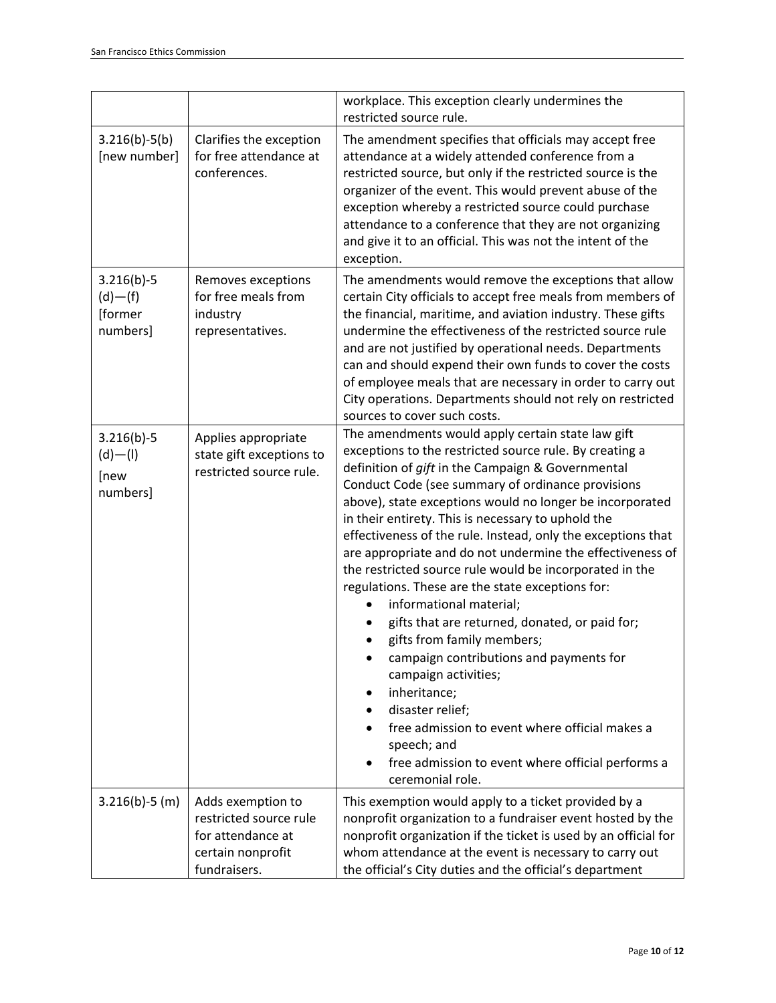|                                                      |                                                                                                       | workplace. This exception clearly undermines the<br>restricted source rule.                                                                                                                                                                                                                                                                                                                                                                                                                                                                                                                                                                                                                                                                                                                                                                                                                                                                           |
|------------------------------------------------------|-------------------------------------------------------------------------------------------------------|-------------------------------------------------------------------------------------------------------------------------------------------------------------------------------------------------------------------------------------------------------------------------------------------------------------------------------------------------------------------------------------------------------------------------------------------------------------------------------------------------------------------------------------------------------------------------------------------------------------------------------------------------------------------------------------------------------------------------------------------------------------------------------------------------------------------------------------------------------------------------------------------------------------------------------------------------------|
| $3.216(b)-5(b)$<br>[new number]                      | Clarifies the exception<br>for free attendance at<br>conferences.                                     | The amendment specifies that officials may accept free<br>attendance at a widely attended conference from a<br>restricted source, but only if the restricted source is the<br>organizer of the event. This would prevent abuse of the<br>exception whereby a restricted source could purchase<br>attendance to a conference that they are not organizing<br>and give it to an official. This was not the intent of the<br>exception.                                                                                                                                                                                                                                                                                                                                                                                                                                                                                                                  |
| $3.216(b)-5$<br>$(d)$ – $(f)$<br>[former<br>numbers] | Removes exceptions<br>for free meals from<br>industry<br>representatives.                             | The amendments would remove the exceptions that allow<br>certain City officials to accept free meals from members of<br>the financial, maritime, and aviation industry. These gifts<br>undermine the effectiveness of the restricted source rule<br>and are not justified by operational needs. Departments<br>can and should expend their own funds to cover the costs<br>of employee meals that are necessary in order to carry out<br>City operations. Departments should not rely on restricted<br>sources to cover such costs.                                                                                                                                                                                                                                                                                                                                                                                                                   |
| $3.216(b)-5$<br>$(d)$ $ (l)$<br>[new<br>numbers]     | Applies appropriate<br>state gift exceptions to<br>restricted source rule.                            | The amendments would apply certain state law gift<br>exceptions to the restricted source rule. By creating a<br>definition of gift in the Campaign & Governmental<br>Conduct Code (see summary of ordinance provisions<br>above), state exceptions would no longer be incorporated<br>in their entirety. This is necessary to uphold the<br>effectiveness of the rule. Instead, only the exceptions that<br>are appropriate and do not undermine the effectiveness of<br>the restricted source rule would be incorporated in the<br>regulations. These are the state exceptions for:<br>informational material;<br>gifts that are returned, donated, or paid for;<br>gifts from family members;<br>campaign contributions and payments for<br>campaign activities;<br>inheritance;<br>٠<br>disaster relief;<br>free admission to event where official makes a<br>speech; and<br>free admission to event where official performs a<br>ceremonial role. |
| $3.216(b)-5(m)$                                      | Adds exemption to<br>restricted source rule<br>for attendance at<br>certain nonprofit<br>fundraisers. | This exemption would apply to a ticket provided by a<br>nonprofit organization to a fundraiser event hosted by the<br>nonprofit organization if the ticket is used by an official for<br>whom attendance at the event is necessary to carry out<br>the official's City duties and the official's department                                                                                                                                                                                                                                                                                                                                                                                                                                                                                                                                                                                                                                           |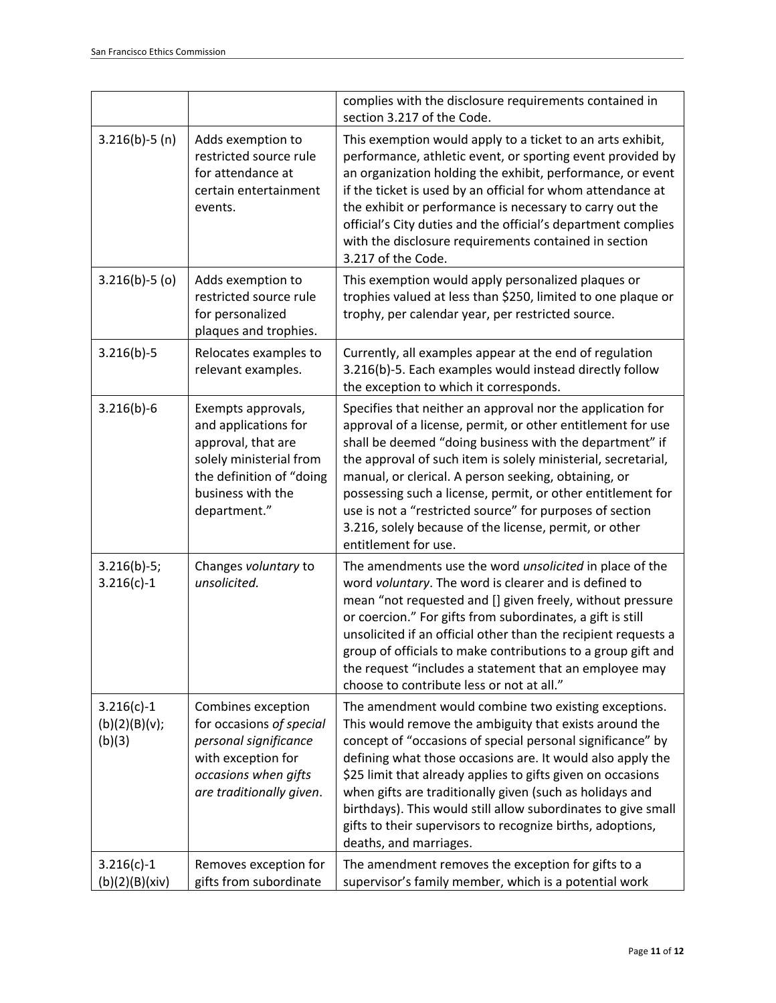|                                         |                                                                                                                                                              | complies with the disclosure requirements contained in<br>section 3.217 of the Code.                                                                                                                                                                                                                                                                                                                                                                                                                                           |
|-----------------------------------------|--------------------------------------------------------------------------------------------------------------------------------------------------------------|--------------------------------------------------------------------------------------------------------------------------------------------------------------------------------------------------------------------------------------------------------------------------------------------------------------------------------------------------------------------------------------------------------------------------------------------------------------------------------------------------------------------------------|
| $3.216(b)-5(n)$                         | Adds exemption to<br>restricted source rule<br>for attendance at<br>certain entertainment<br>events.                                                         | This exemption would apply to a ticket to an arts exhibit,<br>performance, athletic event, or sporting event provided by<br>an organization holding the exhibit, performance, or event<br>if the ticket is used by an official for whom attendance at<br>the exhibit or performance is necessary to carry out the<br>official's City duties and the official's department complies<br>with the disclosure requirements contained in section<br>3.217 of the Code.                                                              |
| $3.216(b)-5(0)$                         | Adds exemption to<br>restricted source rule<br>for personalized<br>plaques and trophies.                                                                     | This exemption would apply personalized plaques or<br>trophies valued at less than \$250, limited to one plaque or<br>trophy, per calendar year, per restricted source.                                                                                                                                                                                                                                                                                                                                                        |
| $3.216(b)-5$                            | Relocates examples to<br>relevant examples.                                                                                                                  | Currently, all examples appear at the end of regulation<br>3.216(b)-5. Each examples would instead directly follow<br>the exception to which it corresponds.                                                                                                                                                                                                                                                                                                                                                                   |
| $3.216(b)-6$                            | Exempts approvals,<br>and applications for<br>approval, that are<br>solely ministerial from<br>the definition of "doing<br>business with the<br>department." | Specifies that neither an approval nor the application for<br>approval of a license, permit, or other entitlement for use<br>shall be deemed "doing business with the department" if<br>the approval of such item is solely ministerial, secretarial,<br>manual, or clerical. A person seeking, obtaining, or<br>possessing such a license, permit, or other entitlement for<br>use is not a "restricted source" for purposes of section<br>3.216, solely because of the license, permit, or other<br>entitlement for use.     |
| $3.216(b)-5;$<br>$3.216(c)-1$           | Changes voluntary to<br>unsolicited.                                                                                                                         | The amendments use the word unsolicited in place of the<br>word voluntary. The word is clearer and is defined to<br>mean "not requested and [] given freely, without pressure<br>or coercion." For gifts from subordinates, a gift is still<br>unsolicited if an official other than the recipient requests a<br>group of officials to make contributions to a group gift and<br>the request "includes a statement that an employee may<br>choose to contribute less or not at all."                                           |
| $3.216(c)-1$<br>(b)(2)(B)(v);<br>(b)(3) | Combines exception<br>for occasions of special<br>personal significance<br>with exception for<br>occasions when gifts<br>are traditionally given.            | The amendment would combine two existing exceptions.<br>This would remove the ambiguity that exists around the<br>concept of "occasions of special personal significance" by<br>defining what those occasions are. It would also apply the<br>\$25 limit that already applies to gifts given on occasions<br>when gifts are traditionally given (such as holidays and<br>birthdays). This would still allow subordinates to give small<br>gifts to their supervisors to recognize births, adoptions,<br>deaths, and marriages. |
| $3.216(c)-1$<br>(b)(2)(B)(xiv)          | Removes exception for<br>gifts from subordinate                                                                                                              | The amendment removes the exception for gifts to a<br>supervisor's family member, which is a potential work                                                                                                                                                                                                                                                                                                                                                                                                                    |